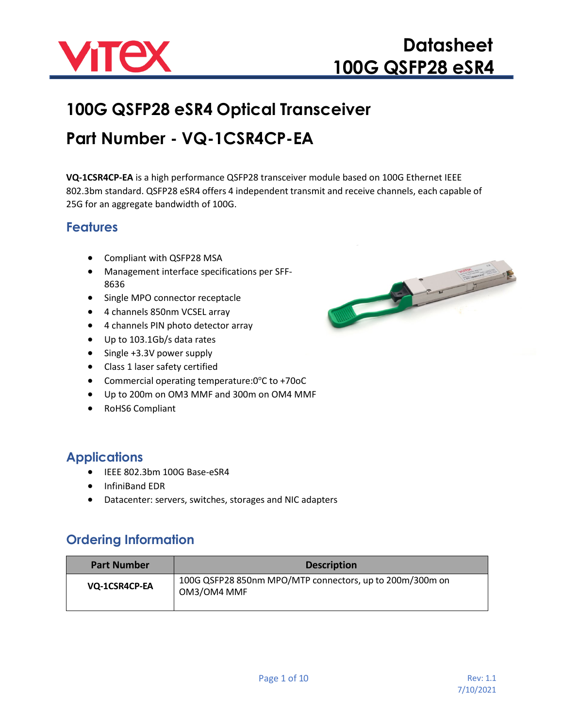

# **100G QSFP28 eSR4 Optical Transceiver Part Number - VQ-1CSR4CP-EA**

**VQ-1CSR4CP-EA** is a high performance QSFP28 transceiver module based on 100G Ethernet IEEE 802.3bm standard. QSFP28 eSR4 offers 4 independent transmit and receive channels, each capable of 25G for an aggregate bandwidth of 100G.

#### **Features**

- Compliant with QSFP28 MSA
- Management interface specifications per SFF-8636
- Single MPO connector receptacle
- 4 channels 850nm VCSEL array
- 4 channels PIN photo detector array
- Up to 103.1Gb/s data rates
- Single +3.3V power supply
- Class 1 laser safety certified
- Commercial operating temperature: 0°C to +70oC
- Up to 200m on OM3 MMF and 300m on OM4 MMF
- RoHS6 Compliant

#### **Applications**

- IEEE 802.3bm 100G Base-eSR4
- InfiniBand EDR
- Datacenter: servers, switches, storages and NIC adapters

#### **Ordering Information**

| <b>Part Number</b> | <b>Description</b>                                                      |
|--------------------|-------------------------------------------------------------------------|
| VQ-1CSR4CP-EA      | 100G QSFP28 850nm MPO/MTP connectors, up to 200m/300m on<br>OM3/OM4 MMF |

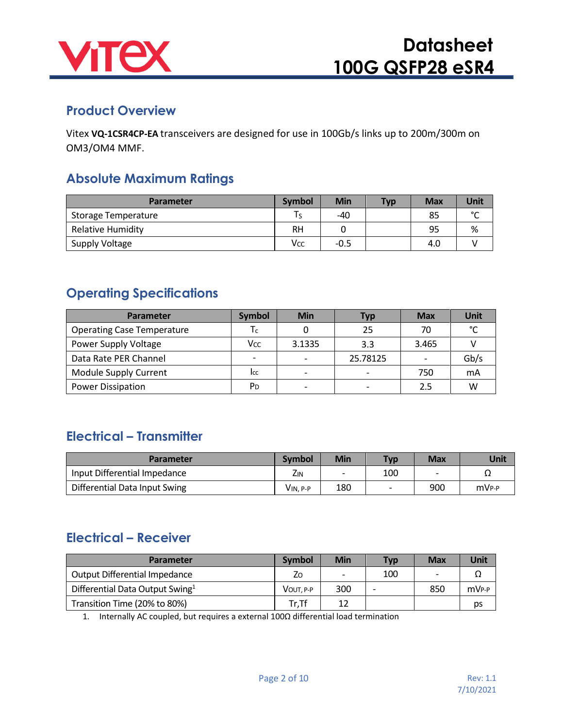

#### **Product Overview**

Vitex **VQ-1CSR4CP-EA** transceivers are designed for use in 100Gb/s links up to 200m/300m on OM3/OM4 MMF.

#### **Absolute Maximum Ratings**

| <b>Parameter</b>    | <b>Symbol</b> | <b>Min</b> | <b>Typ</b> | <b>Max</b> | Unit   |
|---------------------|---------------|------------|------------|------------|--------|
| Storage Temperature |               | -40        |            | 85         | $\sim$ |
| Relative Humidity   | RН            |            |            | 95         | %      |
| Supply Voltage      | Vcc           | $-0.5$     |            | 4.0        |        |

#### **Operating Specifications**

| <b>Parameter</b>                  | <b>Symbol</b>            | <b>Min</b>               | Тур                      | <b>Max</b>               | <b>Unit</b>   |
|-----------------------------------|--------------------------|--------------------------|--------------------------|--------------------------|---------------|
| <b>Operating Case Temperature</b> | I c                      |                          | 25                       | 70                       | $\mathcal{C}$ |
| Power Supply Voltage              | Vcc                      | 3.1335                   | 3.3                      | 3.465                    |               |
| Data Rate PER Channel             | $\overline{\phantom{0}}$ | $\overline{\phantom{0}}$ | 25.78125                 | $\overline{\phantom{0}}$ | Gb/s          |
| Module Supply Current             | Icc                      | $\overline{ }$           | $\overline{\phantom{a}}$ | 750                      | mA            |
| <b>Power Dissipation</b>          | P <sub>D</sub>           | $\overline{\phantom{0}}$ | $\overline{\phantom{a}}$ | 2.5                      | W             |

#### **Electrical – Transmitter**

| <b>Parameter</b>              | <b>Symbol</b>   | Min                      | Typ. | <b>Max</b> | Unit              |
|-------------------------------|-----------------|--------------------------|------|------------|-------------------|
| Input Differential Impedance  | Z <sub>IN</sub> | $\overline{\phantom{0}}$ | 100  |            |                   |
| Differential Data Input Swing | VIN. P-P        | 180                      |      | 900        | mV <sub>P-P</sub> |

#### **Electrical – Receiver**

| <b>Parameter</b>                            | <b>Symbol</b> | Min | <b>Typ.</b> | <b>Max</b>               | Unit              |
|---------------------------------------------|---------------|-----|-------------|--------------------------|-------------------|
| Output Differential Impedance               | Zo            | -   | 100         | $\overline{\phantom{0}}$ |                   |
| Differential Data Output Swing <sup>1</sup> | VOUT. P-P     | 300 |             | 850                      | mV <sub>P-P</sub> |
| Transition Time (20% to 80%)                | Tr,Tf         | 12  |             |                          | ps                |

1. Internally AC coupled, but requires a external 100Ω differential load termination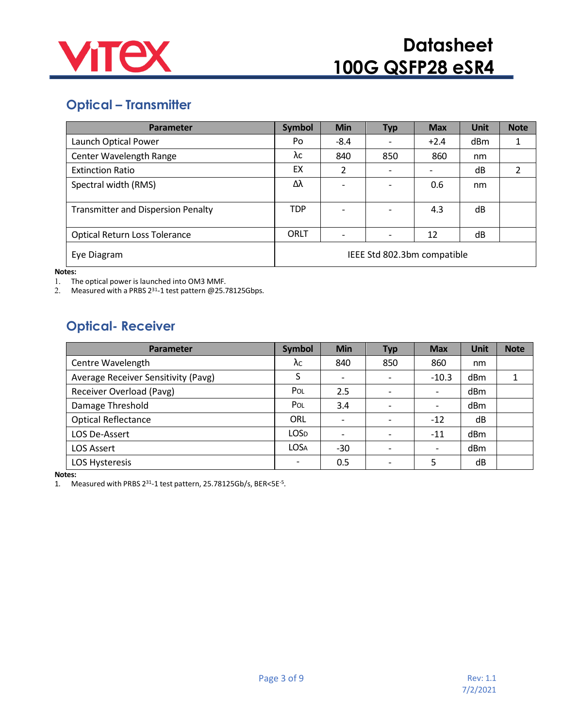![](_page_2_Picture_0.jpeg)

### **Optical – Transmitter**

| Parameter                                 | <b>Symbol</b> | <b>Min</b>               | <b>Typ</b>                  | <b>Max</b> | <b>Unit</b> | <b>Note</b> |
|-------------------------------------------|---------------|--------------------------|-----------------------------|------------|-------------|-------------|
| Launch Optical Power                      | Po            | $-8.4$                   |                             | $+2.4$     | dBm         |             |
| Center Wavelength Range                   | λс            | 840                      | 850                         | 860        | nm          |             |
| <b>Extinction Ratio</b>                   | EX            | $\overline{2}$           |                             |            | dB          |             |
| Spectral width (RMS)                      | Δλ            | $\overline{\phantom{a}}$ |                             | 0.6        | nm          |             |
| <b>Transmitter and Dispersion Penalty</b> | <b>TDP</b>    | $\overline{\phantom{a}}$ |                             | 4.3        | dB          |             |
| <b>Optical Return Loss Tolerance</b>      | <b>ORLT</b>   | $\overline{\phantom{a}}$ |                             | 12         | dB          |             |
| Eye Diagram                               |               |                          | IEEE Std 802.3bm compatible |            |             |             |

**Notes:**

1. The optical power is launched into OM3 MMF.

2. Measured with a PRBS  $2^{31}$ -1 test pattern @25.78125Gbps.

### **Optical- Receiver**

| Parameter                           | <b>Symbol</b>            | <b>Min</b>               | <b>Typ</b> | <b>Max</b>               | Unit            | <b>Note</b> |
|-------------------------------------|--------------------------|--------------------------|------------|--------------------------|-----------------|-------------|
| Centre Wavelength                   | $\lambda_{\rm C}$        | 840                      | 850        | 860                      | nm              |             |
| Average Receiver Sensitivity (Pavg) | S                        | $\overline{\phantom{a}}$ |            | $-10.3$                  | dB <sub>m</sub> |             |
| Receiver Overload (Pavg)            | POL                      | 2.5                      |            | $\overline{\phantom{0}}$ | dBm             |             |
| Damage Threshold                    | POL                      | 3.4                      |            |                          | dBm             |             |
| <b>Optical Reflectance</b>          | ORL                      | $\overline{\phantom{a}}$ |            | $-12$                    | dB              |             |
| LOS De-Assert                       | <b>LOSD</b>              | $\overline{\phantom{a}}$ |            | $-11$                    | dBm             |             |
| <b>LOS Assert</b>                   | <b>LOSA</b>              | -30                      |            | $\overline{\phantom{0}}$ | dBm             |             |
| LOS Hysteresis                      | $\overline{\phantom{a}}$ | 0.5                      |            | 5                        | dB              |             |

**Notes:**

1. Measured with PRBS 231-1 test pattern, 25.78125Gb/s, BER<5E-5.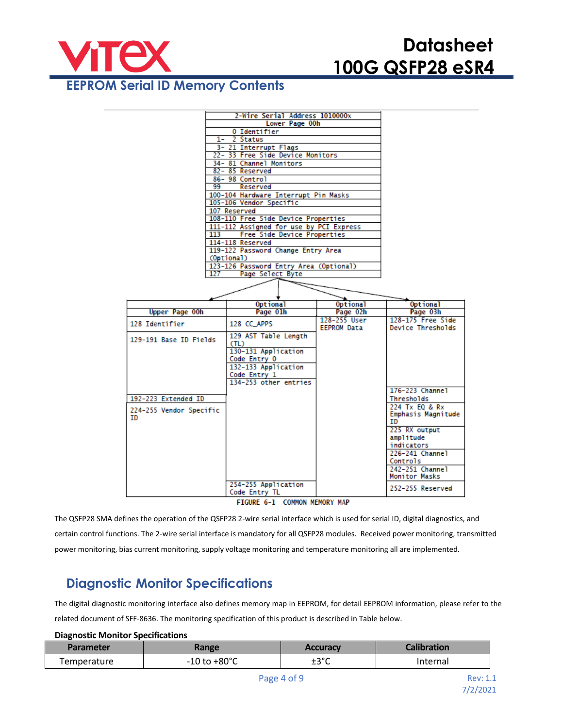![](_page_3_Picture_1.jpeg)

#### **EEPROM Serial ID Memory Contents**

|                         | 2-Wire Serial Address 1010000x                            |                    |                         |
|-------------------------|-----------------------------------------------------------|--------------------|-------------------------|
|                         | Lower Page 00h                                            |                    |                         |
|                         | 0 Identifier                                              |                    |                         |
|                         | 1- 2 Status                                               |                    |                         |
|                         | 3- 21 Interrupt Flags<br>22- 33 Free Side Device Monitors |                    |                         |
|                         | 34-81 Channel Monitors                                    |                    |                         |
|                         | 82-85 Reserved                                            |                    |                         |
|                         | 86-98 Control                                             |                    |                         |
| 99                      | Reserved                                                  |                    |                         |
|                         | 100-104 Hardware Interrupt Pin Masks                      |                    |                         |
|                         | 105-106 Vendor Specific                                   |                    |                         |
|                         | 107 Reserved                                              |                    |                         |
|                         | 108-110 Free Side Device Properties                       |                    |                         |
|                         | 111-112 Assigned for use by PCI Express                   |                    |                         |
| 113                     | Free Side Device Properties                               |                    |                         |
|                         | 114-118 Reserved                                          |                    |                         |
|                         | 119-122 Password Change Entry Area                        |                    |                         |
|                         | (Optional)                                                |                    |                         |
|                         | 123-126 Password Entry Area (Optional)                    |                    |                         |
| 127                     | Page Select Byte                                          |                    |                         |
|                         |                                                           |                    |                         |
|                         |                                                           |                    |                         |
|                         | <b>Optional</b>                                           | <b>Optional</b>    | <b>Optional</b>         |
| <b>Upper Page 00h</b>   | Page 01h                                                  | Page 02h           | Page 03h                |
| 128 Identifier          | 128 CC APPS                                               | 128-255 User       | 128-175 Free Side       |
|                         |                                                           |                    |                         |
|                         |                                                           | <b>EEPROM Data</b> | Device Thresholds       |
|                         | 129 AST Table Length                                      |                    |                         |
| 129-191 Base ID Fields  | (TL)                                                      |                    |                         |
|                         | 130-131 Application                                       |                    |                         |
|                         | Code Entry 0                                              |                    |                         |
|                         | 132-133 Application                                       |                    |                         |
|                         | Code Entry 1                                              |                    |                         |
|                         | 134-253 other entries                                     |                    |                         |
|                         |                                                           |                    | 176-223 Channel         |
| 192-223 Extended ID     |                                                           |                    | Thresholds              |
| 224-255 Vendor Specific |                                                           |                    | 224 Tx EQ & Rx          |
| ID                      |                                                           |                    | Emphasis Magnitude      |
|                         |                                                           |                    | ID                      |
|                         |                                                           |                    | 225 RX output           |
|                         |                                                           |                    | amplitude<br>indicators |
|                         |                                                           |                    | 226-241 Channel         |
|                         |                                                           |                    | Controls                |
|                         |                                                           |                    | 242-251 Channel         |
|                         |                                                           |                    | Monitor Masks           |
|                         | 254-255 Application<br>Code Entry TL                      |                    | 252-255 Reserved        |

FIGURE 6-1 COMMON MEMORY MAP

The QSFP28 SMA defines the operation of the QSFP28 2-wire serial interface which is used for serial ID, digital diagnostics, and certain control functions. The 2-wire serial interface is mandatory for all QSFP28 modules. Received power monitoring, transmitted power monitoring, bias current monitoring, supply voltage monitoring and temperature monitoring all are implemented.

#### **Diagnostic Monitor Specifications**

The digital diagnostic monitoring interface also defines memory map in EEPROM, for detail EEPROM information, please refer to the related document of SFF-8636. The monitoring specification of this product is described in Table below.

#### **Diagnostic Monitor Specifications**

| Parameter   | <b>Range</b>             | <b>Accuracy</b> | <b>Calibration</b> |
|-------------|--------------------------|-----------------|--------------------|
| Temperature | $-10$ to $+80^{\circ}$ C | ±3°C            | Internal           |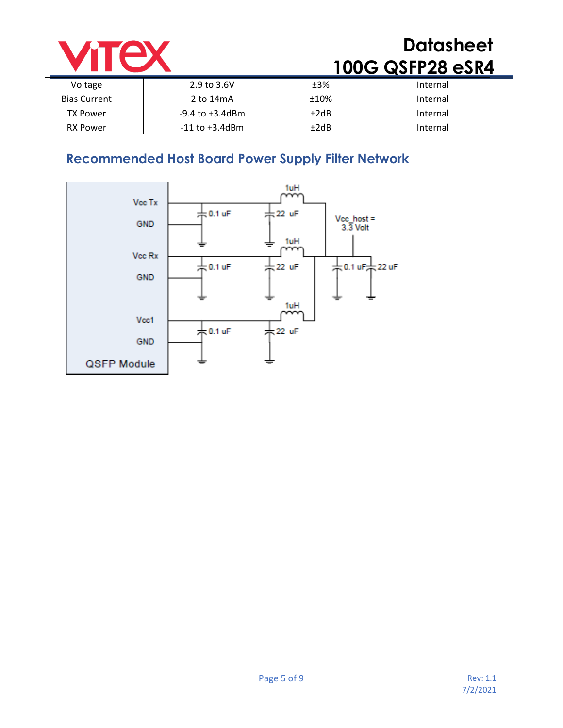![](_page_4_Picture_0.jpeg)

| Voltage             | $2.9$ to $3.6V$     | ±3%  | Internal |
|---------------------|---------------------|------|----------|
| <b>Bias Current</b> | 2 to 14mA           | ±10% | Internal |
| TX Power            | -9.4 to +3.4dBm     | ±2dB | Internal |
| <b>RX Power</b>     | $-11$ to $+3.4$ dBm | ±2dB | Internal |

### **Recommended Host Board Power Supply Filter Network**

![](_page_4_Figure_4.jpeg)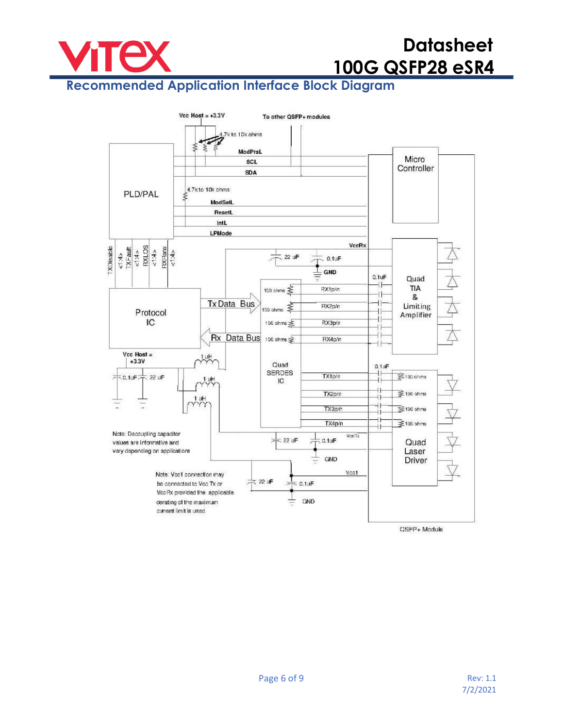![](_page_5_Picture_0.jpeg)

### **Recommended Application Interface Block Diagram**

![](_page_5_Figure_3.jpeg)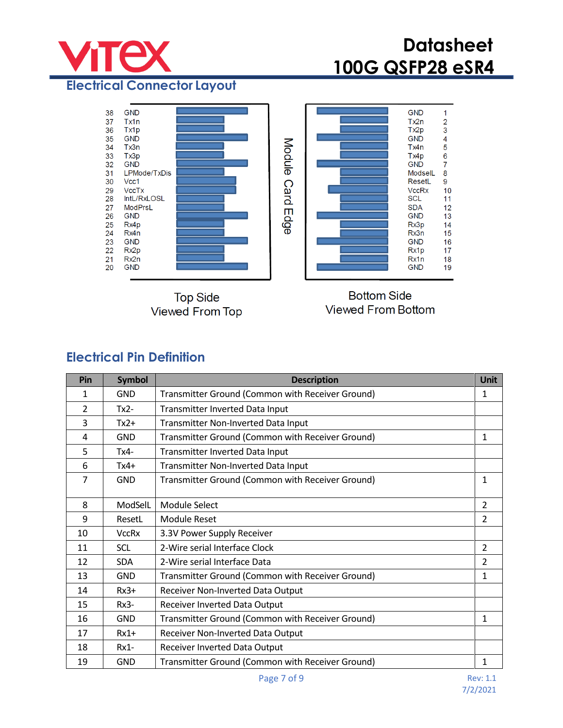![](_page_6_Picture_0.jpeg)

**Electrical Connector Layout**

![](_page_6_Figure_3.jpeg)

**Top Side** Viewed From Top

**Bottom Side Viewed From Bottom** 

#### **Electrical Pin Definition**

| Pin | <b>Symbol</b> | <b>Description</b>                               | <b>Unit</b>    |
|-----|---------------|--------------------------------------------------|----------------|
| 1   | GND           | Transmitter Ground (Common with Receiver Ground) | 1              |
| 2   | $Tx2-$        | Transmitter Inverted Data Input                  |                |
| 3   | $Tx2+$        | Transmitter Non-Inverted Data Input              |                |
| 4   | <b>GND</b>    | Transmitter Ground (Common with Receiver Ground) | 1              |
| 5   | $Tx4-$        | Transmitter Inverted Data Input                  |                |
| 6   | $Tx4+$        | Transmitter Non-Inverted Data Input              |                |
| 7   | <b>GND</b>    | Transmitter Ground (Common with Receiver Ground) | $\mathbf{1}$   |
| 8   | ModSelL       | Module Select                                    | $\overline{2}$ |
| 9   | ResetL        | <b>Module Reset</b>                              | 2              |
| 10  | <b>VccRx</b>  | 3.3V Power Supply Receiver                       |                |
| 11  | <b>SCL</b>    | 2-Wire serial Interface Clock                    | $\overline{2}$ |
| 12  | <b>SDA</b>    | 2-Wire serial Interface Data                     | 2              |
| 13  | <b>GND</b>    | Transmitter Ground (Common with Receiver Ground) | 1              |
| 14  | $Rx3+$        | Receiver Non-Inverted Data Output                |                |
| 15  | $Rx3-$        | Receiver Inverted Data Output                    |                |
| 16  | <b>GND</b>    | Transmitter Ground (Common with Receiver Ground) | 1              |
| 17  | $Rx1+$        | Receiver Non-Inverted Data Output                |                |
| 18  | $Rx1-$        | Receiver Inverted Data Output                    |                |
| 19  | <b>GND</b>    | Transmitter Ground (Common with Receiver Ground) | 1              |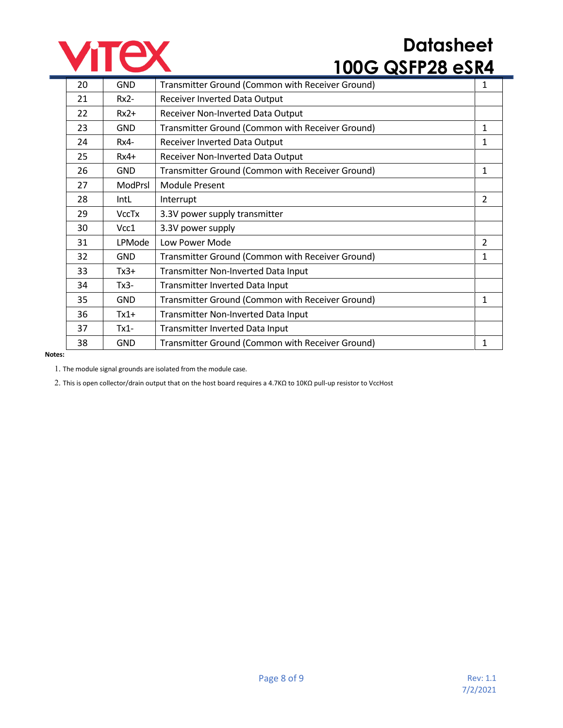![](_page_7_Picture_0.jpeg)

| 20 | <b>GND</b>   | Transmitter Ground (Common with Receiver Ground) | 1              |
|----|--------------|--------------------------------------------------|----------------|
| 21 | $Rx2-$       | Receiver Inverted Data Output                    |                |
| 22 | $Rx2+$       | Receiver Non-Inverted Data Output                |                |
| 23 | <b>GND</b>   | Transmitter Ground (Common with Receiver Ground) | 1              |
| 24 | $Rx4-$       | Receiver Inverted Data Output                    | 1              |
| 25 | $Rx4+$       | Receiver Non-Inverted Data Output                |                |
| 26 | <b>GND</b>   | Transmitter Ground (Common with Receiver Ground) | 1              |
| 27 | ModPrsl      | <b>Module Present</b>                            |                |
| 28 | IntL         | Interrupt                                        | $\overline{2}$ |
| 29 | <b>VccTx</b> | 3.3V power supply transmitter                    |                |
| 30 | Vcc1         | 3.3V power supply                                |                |
| 31 | LPMode       | Low Power Mode                                   | 2              |
| 32 | <b>GND</b>   | Transmitter Ground (Common with Receiver Ground) | 1              |
| 33 | $Tx3+$       | Transmitter Non-Inverted Data Input              |                |
| 34 | $Tx3-$       | Transmitter Inverted Data Input                  |                |
| 35 | <b>GND</b>   | Transmitter Ground (Common with Receiver Ground) | 1              |
| 36 | $Tx1+$       | Transmitter Non-Inverted Data Input              |                |
| 37 | $Tx1-$       | Transmitter Inverted Data Input                  |                |
| 38 | <b>GND</b>   | Transmitter Ground (Common with Receiver Ground) | 1              |
|    |              |                                                  |                |

#### **Notes:**

1. The module signal grounds are isolated from the module case.

2. This is open collector/drain output that on the host board requires a 4.7KΩ to 10KΩ pull-up resistor to VccHost